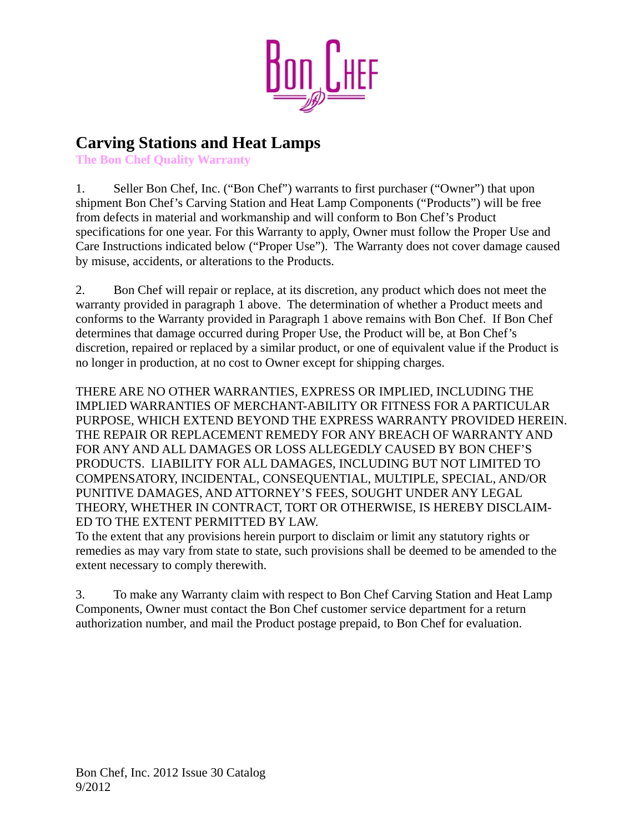

## **Carving Stations and Heat Lamps**

**The Bon Chef Quality Warranty**

1. Seller Bon Chef, Inc. ("Bon Chef") warrants to first purchaser ("Owner") that upon shipment Bon Chef's Carving Station and Heat Lamp Components ("Products") will be free from defects in material and workmanship and will conform to Bon Chef's Product specifications for one year. For this Warranty to apply, Owner must follow the Proper Use and Care Instructions indicated below ("Proper Use"). The Warranty does not cover damage caused by misuse, accidents, or alterations to the Products.

2. Bon Chef will repair or replace, at its discretion, any product which does not meet the warranty provided in paragraph 1 above. The determination of whether a Product meets and conforms to the Warranty provided in Paragraph 1 above remains with Bon Chef. If Bon Chef determines that damage occurred during Proper Use, the Product will be, at Bon Chef's discretion, repaired or replaced by a similar product, or one of equivalent value if the Product is no longer in production, at no cost to Owner except for shipping charges.

THERE ARE NO OTHER WARRANTIES, EXPRESS OR IMPLIED, INCLUDING THE IMPLIED WARRANTIES OF MERCHANT-ABILITY OR FITNESS FOR A PARTICULAR PURPOSE, WHICH EXTEND BEYOND THE EXPRESS WARRANTY PROVIDED HEREIN. THE REPAIR OR REPLACEMENT REMEDY FOR ANY BREACH OF WARRANTY AND FOR ANY AND ALL DAMAGES OR LOSS ALLEGEDLY CAUSED BY BON CHEF'S PRODUCTS. LIABILITY FOR ALL DAMAGES, INCLUDING BUT NOT LIMITED TO COMPENSATORY, INCIDENTAL, CONSEQUENTIAL, MULTIPLE, SPECIAL, AND/OR PUNITIVE DAMAGES, AND ATTORNEY'S FEES, SOUGHT UNDER ANY LEGAL THEORY, WHETHER IN CONTRACT, TORT OR OTHERWISE, IS HEREBY DISCLAIM-ED TO THE EXTENT PERMITTED BY LAW.

To the extent that any provisions herein purport to disclaim or limit any statutory rights or remedies as may vary from state to state, such provisions shall be deemed to be amended to the extent necessary to comply therewith.

3. To make any Warranty claim with respect to Bon Chef Carving Station and Heat Lamp Components, Owner must contact the Bon Chef customer service department for a return authorization number, and mail the Product postage prepaid, to Bon Chef for evaluation.